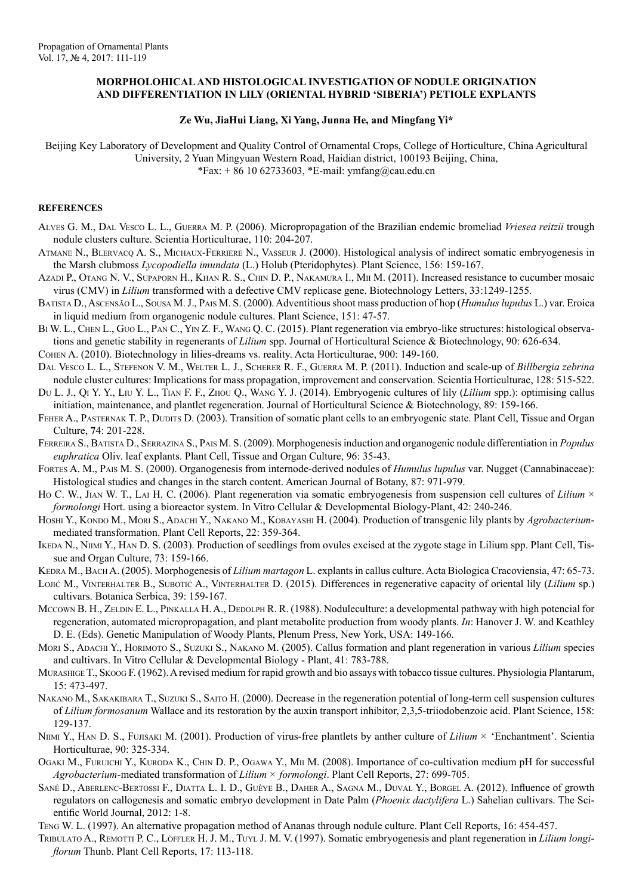## **MORPHOLOHICAL AND HISTOLOGICAL INVESTIGATION OF NODULE ORIGINATION AND DIFFERENTIATION IN LILY (ORIENTAL HYBRID 'SIBERIA') PETIOLE EXPLANTS**

## **Ze Wu, JiaHui Liang, Xi Yang, Junna He, and Mingfang Yi\***

Beijing Key Laboratory of Development and Quality Control of Ornamental Crops, College of Horticulture, China Agricultural University, 2 Yuan Mingyuan Western Road, Haidian district, 100193 Beijing, China,  $*Fax: + 86 10 62733603$ ,  $*E-mail: ymfang@cau.edu.cn$ 

## **REFERENCES**

- Alves G. M., Dal Vesco L. L., Guerra M. P. (2006). Micropropagation of the Brazilian endemic bromeliad *Vriesea reitzii* trough nodule clusters culture. Scientia Horticulturae, 110: 204-207.
- Atmane N., Blervacq A. S., Michaux-Ferriere N., Vasseur J. (2000). Histological analysis of indirect somatic embryogenesis in the Marsh clubmoss *Lycopodiella imundata* (L.) Holub (Pteridophytes). Plant Science, 156: 159-167.
- Azadi P., Otang N. V., Supaporn H., Khan R. S., Chin D. P., Nakamura I., Mii M. (2011). Increased resistance to cucumber mosaic virus (CMV) in *Lilium* transformed with a defective CMV replicase gene. Biotechnology Letters, 33:1249-1255.
- Batista D., Ascensão L., Sousa M. J., Pais M. S. (2000). Adventitious shoot mass production of hop (*Humulus lupulus* L.) var. Eroica in liquid medium from organogenic nodule cultures. Plant Science, 151: 47-57.
- Bi W. L., Chen L., Guo L., Pan C., Yin Z. F., Wang Q. C. (2015). Plant regeneration via embryo-like structures: histological observations and genetic stability in regenerants of *Lilium* spp. Journal of Horticultural Science & Biotechnology, 90: 626-634.
- Cohen A. (2010). Biotechnology in lilies-dreams vs. reality. Acta Horticulturae, 900: 149-160.
- Dal Vesco L. L., Stefenon V. M., Welter L. J., Scherer R. F., Guerra M. P. (2011). Induction and scale-up of *Billbergia zebrina* nodule cluster cultures: Implications for mass propagation, improvement and conservation. Scientia Horticulturae, 128: 515-522.
- Du L. J., Qi Y. Y., Liu Y. L., Tian F. F., Zhou Q., Wang Y. J. (2014). Embryogenic cultures of lily (*Lilium* spp.): optimising callus initiation, maintenance, and plantlet regeneration. Journal of Horticultural Science & Biotechnology, 89: 159-166.
- FEHER A., PASTERNAK T. P., DUDITS D. (2003). Transition of somatic plant cells to an embryogenic state. Plant Cell, Tissue and Organ Culture, **7**4: 201-228.
- Ferreira S., Batista D., Serrazina S., Pais M. S. (2009). Morphogenesis induction and organogenic nodule differentiation in *Populus euphratica* Oliv. leaf explants. Plant Cell, Tissue and Organ Culture, 96: 35-43.
- Fortes A. M., Pais M. S. (2000). Organogenesis from internode-derived nodules of *Humulus lupulus* var. Nugget (Cannabinaceae): Histological studies and changes in the starch content. American Journal of Botany, 87: 971-979.
- Ho C. W., JIAN W. T., LAI H. C. (2006). Plant regeneration via somatic embryogenesis from suspension cell cultures of *Lilium*  $\times$ *formolongi* Hort. using a bioreactor system. In Vitro Cellular & Developmental Biology-Plant, 42: 240-246.
- HOSHI Y., KONDO M., MORI S., ADACHI Y., NAKANO M., KOBAYASHI H. (2004). Production of transgenic lily plants by *Agrobacterium*mediated transformation. Plant Cell Reports, 22: 359-364.
- IKEDA N., NIIMI Y., HAN D. S. (2003). Production of seedlings from ovules excised at the zygote stage in Lilium spp. Plant Cell, Tissue and Organ Culture, 73: 159-166.
- KEDRA M., BACH A. (2005). Morphogenesis of *Lilium martagon* L. explants in callus culture. Acta Biologica Cracoviensia, 47: 65-73.
- Lonc M., VINTERHALTER B., SUBOTIC A., VINTERHALTER D. (2015). Differences in regenerative capacity of oriental lily (*Lilium* sp.) cultivars. Botanica Serbica, 39: 159-167.
- Mccown B. H., ZELDIN E. L., PINKALLA H. A., DEDOLPH R. R. (1988). Noduleculture: a developmental pathway with high potencial for regeneration, automated micropropagation, and plant metabolite production from woody plants. *In*: Hanover J. W. and Keathley D. E. (Eds). Genetic Manipulation of Woody Plants, Plenum Press, New York, USA: 149-166.
- Mori S., Adachi Y., Horimoto S., Suzuki S., Nakano M. (2005). Callus formation and plant regeneration in various *Lilium* species and cultivars. In Vitro Cellular & Developmental Biology - Plant, 41: 783-788.
- Murashige T., Skoog F. (1962). A revised medium for rapid growth and bio assays with tobacco tissue cultures. Physiologia Plantarum, 15: 473-497.
- NAKANO M., SAKAKIBARA T., SUZUKI S., SAITO H. (2000). Decrease in the regeneration potential of long-term cell suspension cultures of *Lilium formosanum* Wallace and its restoration by the auxin transport inhibitor, 2,3,5-triiodobenzoic acid. Plant Science, 158: 129-137.
- NIIMI Y., HAN D. S., FUJISAKI M. (2001). Production of virus-free plantlets by anther culture of *Lilium* × 'Enchantment'. Scientia Horticulturae, 90: 325-334.
- Ogaki M., Furuichi Y., Kuroda K., Chin D. P., Ogawa Y., Mii M. (2008). Importance of co-cultivation medium pH for successful *Agrobacterium*-mediated transformation of *Lilium × formolongi*. Plant Cell Reports, 27: 699-705.
- Sané D., Aberlenc-Bertossi F., Diatta L. I. D., Guèye B., Daher A., Sagna M., Duval Y., Borgel A. (2012). Influence of growth regulators on callogenesis and somatic embryo development in Date Palm (*Phoenix dactylifera* L.) Sahelian cultivars. The Scientific World Journal, 2012: 1-8.
- Teng W. L. (1997). An alternative propagation method of Ananas through nodule culture. Plant Cell Reports, 16: 454-457.
- TRIBULATO A., REMOTTI P. C., LÖFFLER H. J. M., TUYL J. M. V. (1997). Somatic embryogenesis and plant regeneration in *Lilium longiflorum* Thunb. Plant Cell Reports, 17: 113-118.